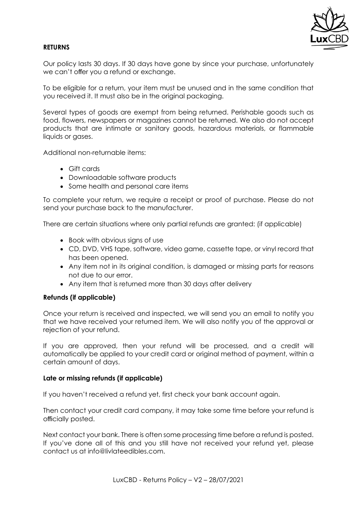

# **RETURNS**

Our policy lasts 30 days. If 30 days have gone by since your purchase, unfortunately we can't offer you a refund or exchange.

To be eligible for a return, your item must be unused and in the same condition that you received it. It must also be in the original packaging.

Several types of goods are exempt from being returned. Perishable goods such as food, flowers, newspapers or magazines cannot be returned. We also do not accept products that are intimate or sanitary goods, hazardous materials, or flammable liquids or gases.

Additional non-returnable items:

- Gift cards
- Downloadable software products
- Some health and personal care items

To complete your return, we require a receipt or proof of purchase. Please do not send your purchase back to the manufacturer.

There are certain situations where only partial refunds are granted: (if applicable)

- Book with obvious signs of use
- CD, DVD, VHS tape, software, video game, cassette tape, or vinyl record that has been opened.
- Any item not in its original condition, is damaged or missing parts for reasons not due to our error.
- Any item that is returned more than 30 days after delivery

## **Refunds (if applicable)**

Once your return is received and inspected, we will send you an email to notify you that we have received your returned item. We will also notify you of the approval or rejection of your refund.

If you are approved, then your refund will be processed, and a credit will automatically be applied to your credit card or original method of payment, within a certain amount of days.

#### **Late or missing refunds (if applicable)**

If you haven't received a refund yet, first check your bank account again.

Then contact your credit card company, it may take some time before your refund is officially posted.

Next contact your bank. There is often some processing time before a refund is posted. If you've done all of this and you still have not received your refund yet, please contact us at info@livlateedibles.com.